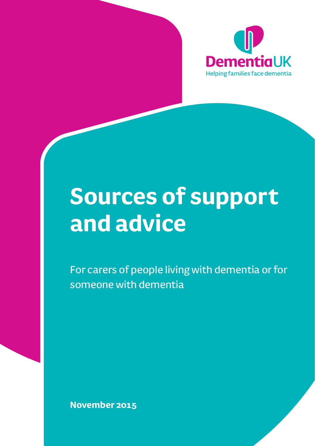

# **Sources of support and advice**

For carers of people living with dementia or for someone with dementia

**November 2015**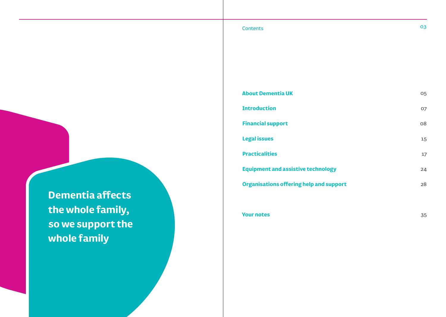## **Contents O3**

**About Dementia UK Introduction Financial support Legal issues Practicalities Equipment and assistive technology Organisations offering help and support** 05 07 08 15 17 24 28

**Dementia affects the whole family, so we support the whole family**

**Your notes** 

35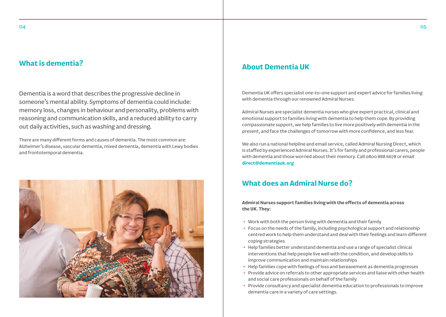## **What is dementia?** About Dementia UK

Dementia is a word that describes the progressive decline in someone's mental ability. Symptoms of dementia could include: memory loss, changes in behaviour and personality, problems with reasoning and communication skills, and a reduced ability to carry out daily activities, such as washing and dressing.

There are many different forms and causes of dementia. The most common are: Alzheimer's disease, vascular dementia, mixed dementia, dementia with Lewy bodies and frontotemporal dementia.



Dementia UK offers specialist one-to-one support and expert advice for families living with dementia through our renowned Admiral Nurses.

Admiral Nurses are specialist dementia nurses who give expert practical, clinical and emotional support to families living with dementia to help them cope. By providing compassionate support, we help families to live more positively with dementia in the present, and face the challenges of tomorrow with more confidence, and less fear.

We also run a national helpline and email service, called Admiral Nursing Direct, which is staffed by experienced Admiral Nurses. It's for family and professional carers, people with dementia and those worried about their memory. Call 0800 888 6678 or email **direct@dementiauk.org**

## **What does an Admiral Nurse do?**

**Admiral Nurses support families living with the effects of dementia across the UK. They:**

- Work with both the person living with dementia and their family
- Focus on the needs of the family, including psychological support and relationship centred work to help them understand and deal with their feelings and learn different coping strategies
- Help families better understand dementia and use a range of specialist clinical interventions that help people live well with the condition, and develop skills to improve communication and maintain relationships
- Help families cope with feelings of loss and bereavement as dementia progresses
- Provide advice on referrals to other appropriate services and liaise with other health and social care professionals on behalf of the family
- Provide consultancy and specialist dementia education to professionals to improve dementia care in a variety of care settings.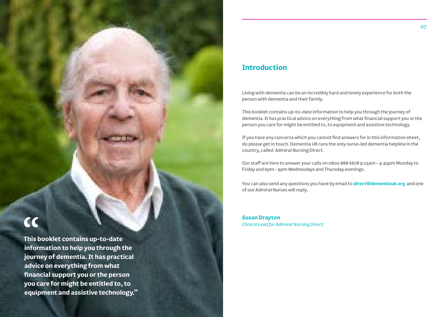**This booklet contains up-to-date information to help you through the journey of dementia. It has practical advice on everything from what financial support you or the person you care for might be entitled to, to equipment and assistive technology."**

## **Introduction**

Living with dementia can be an incredibly hard and lonely experience for both the person with dementia and their family.

This booklet contains up-to-date information to help you through the journey of dementia. It has practical advice on everything from what financial support you or the person you care for might be entitled to, to equipment and assistive technology.

If you have any concerns which you cannot find answers for in this information sheet, do please get in touch. Dementia UK runs the only nurse-led dementia helpline in the country, called Admiral Nursing Direct.

Our staff are here to answer your calls on 0800 888 6678 9:15am - 4:45pm Monday to Friday and 6pm - 9pm Wednesdays and Thursday evenings.

You can also send any questions you have by email to *direct@dementiauk.org* and one of our Admiral Nurses will reply.

**Susan Drayton** *Clinical Lead for Admiral Nursing Direct*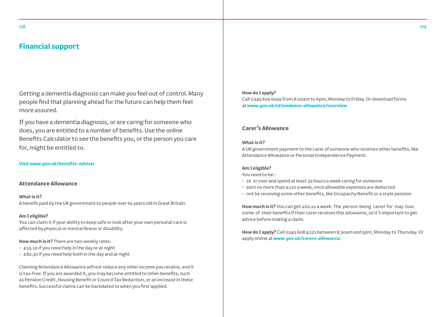## **Financial support**

Getting a dementia diagnosis can make you feel out of control. Many people find that planning ahead for the future can help them feel more assured.

If you have a dementia diagnosis, or are caring for someone who does, you are entitled to a number of benefits. Use the online Benefits Calculator to see the benefits you, or the person you care for, might be entitled to.

#### *Visit www.gov.uk/benefits-adviser*

#### **Attendance Allowance**

**What is it?**  A benefit paid by the UK government to people over 65 years old in Great Britain.

#### **Am I eligible?**

You can claim it if your ability to keep safe or look after your own personal care is affected by physical or mental illness or disability.

#### **How much is it?** There are two weekly rates:

- £55.10 if you need help in the day or at night
- £82.30 if you need help both in the day and at night

Claiming Attendance Allowance will not reduce any other income you receive, and it is tax-free. If you are awarded it, you may become entitled to other benefits, such as Pension Credit, Housing Benefit or Council Tax Reduction, or an increase in these benefits. Successful claims can be backdated to when you first applied.

#### **How do I apply?**

Call 0345 605 6055 from 8.00am to 6pm, Monday to Friday. Or download forms at *www.gov.uk/attendance-allowance/overview*

#### **Carer's Allowance**

#### **What is it?**

A UK government payment to the carer of someone who receives other benefits, like Attendance Allowance or Personal Independence Payment.

#### **Am I eligible?**

You need to be: :

- 16 or over and spend at least 35 hours a week caring for someone
- earn no more than £110 a week, once allowable expenses are deducted
- not be receiving some other benefits, like Incapacity Benefit or a state pension

**How much is it?** You can get £62.10 a week. The person being cared for may lose some of their benefits if their carer receives this allowance, so it's important to get advice before making a claim**.** 

**How do I apply?** Call 0345 608 4321 between 8:30am and 5pm, Monday to Thursday. Or apply online at *www.gov.uk/carers-allowance.*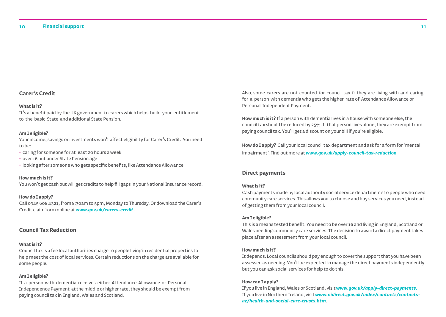### **Carer's Credit**

#### **What is it?**

It's a benefit paid by the UK government to carers which helps build your entitlement to the basic State and additional State Pension.

#### **Am I eligible?**

Your income, savings or investments won't affect eligibility for Carer's Credit. You need to be:

- caring for someone for at least 20 hours a week
- over 16 but under State Pension age
- looking after someone who gets specific benefits, like Attendance Allowance

#### **How much is it?**

You won't get cash but will get credits to help fill gaps in your National Insurance record.

#### **How do I apply?**

Call 0345 608 4321, from 8:30am to 5pm, Monday to Thursday. Or download the Carer's Credit claim form online at *www.gov.uk/carers-credit.*

#### **Council Tax Reduction**

#### **What is it?**

Council tax is a fee local authorities charge to people living in residential properties to help meet the cost of local services. Certain reductions on the charge are available for some people.

#### **Am I eligible?**

If a person with dementia receives either Attendance Allowance or Personal Independence Payment at the middle or higher rate, they should be exempt from paying council tax in England, Wales and Scotland.

Also, some carers are not counted for council tax if they are living with and caring for a person with dementia who gets the higher rate of Attendance Allowance or Personal Independent Payment.

**How much is it?** If a person with dementia lives in a house with someone else, the council tax should be reduced by 25%. If that person lives alone, they are exempt from paying council tax. You'll get a discount on your bill if you're eligible.

**How do I apply?** Call your local council tax department and ask for a form for 'mental impairment'. Find out more at *www.gov.uk/apply-council-tax-reduction*

#### **Direct payments**

#### **What is it?**

Cash payments made by local authority social service departments to people who need community care services. This allows you to choose and buy services you need, instead of getting them from your local council.

#### **Am I eligible?**

This is a means tested benefit. You need to be over 16 and living in England, Scotland or Wales needing community care services. The decision to award a direct payment takes place after an assessment from your local council.

#### **How much is it?**

It depends. Local councils should pay enough to cover the support that you have been assessed as needing. You'll be expected to manage the direct payments independently but you can ask social services for help to do this.

#### **How can I apply?**

If you live in England, Wales or Scotland, visit *www.gov.uk/apply-direct-payments.* If you live in Northern Ireland, visit *www.nidirect.gov.uk/index/contacts/contactsaz/health-and-social-care-trusts.htm*.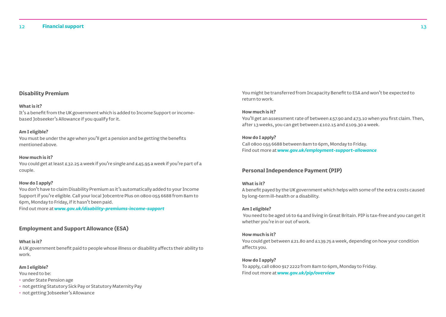#### **Disability Premium**

#### **What is it?**

It's a benefit from the UK government which is added to Income Support or incomebased Jobseeker's Allowance if you qualify for it.

#### **Am I eligible?**

You must be under the age when you'll get a pension and be getting the benefits mentioned above.

#### **How much is it?**

You could get at least £32.25 a week if you're single and £45.95 a week if you're part of a couple.

#### **How do I apply?**

You don't have to claim Disability Premium as it's automatically added to your Income Support if you're eligible. Call your local Jobcentre Plus on 0800 055 6688 from 8am to 6pm, Monday to Friday, if it hasn't been paid.

Find out more at *www.gov.uk/disability-premiums-income-support*

#### **Employment and Support Allowance (ESA)**

#### **What is it?**

A UK government benefit paid to people whose illness or disability affects their ability to work.

#### **Am I eligible?**

You need to be:

- under State Pension age
- not getting Statutory Sick Pay or Statutory Maternity Pay
- not getting Jobseeker's Allowance

You might be transferred from Incapacity Benefit to ESA and won't be expected to return to work.

#### **How much is it?**

You'll get an assessment rate of between £57.90 and £73.10 when you first claim. Then, after 13 weeks, you can get between £102.15 and £109.30 a week.

#### **How do I apply?**

Call 0800 055 6688 between 8am to 6pm, Monday to Friday. Find out more at *www.gov.uk/employment-support-allowance*

#### **Personal Independence Payment (PIP)**

#### **What is it?**

A benefit payed by the UK government which helps with some of the extra costs caused by long-term ill-health or a disability.

#### **Am I eligible?**

You need to be aged 16 to 64 and living in Great Britain. PIP is tax-free and you can get it whether you're in or out of work.

#### **How much is it?**

You could get between £21.80 and £139.75 a week, depending on how your condition affects you.

#### **How do I apply?**

To apply, call 0800 917 2222 from 8am to 6pm, Monday to Friday. Find out more at *www.gov.uk/pip/overview*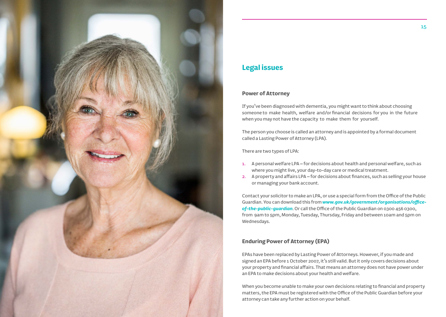

## **Legal issues**

#### **Power of Attorney**

If you've been diagnosed with dementia, you might want to think about choosing someone to make health, welfare and/or financial decisions for you in the future when you may not have the capacity to make them for yourself.

The person you choose is called an attorney and is appointed by a formal document called a Lasting Power of Attorney (LPA).

There are two types of LPA:

- 1. A personal welfare LPA for decisions about health and personal welfare, such as where you might live, your day-to-day care or medical treatment.
- 2. A property and affairs LPA for decisions about finances, such as selling your house or managing your bank account.

Contact your solicitor to make an LPA, or use a special form from the Office of the Public Guardian. You can download this from *www.gov.uk/government/organisations/officeof-the-public-guardian*. Or call the Office of the Public Guardian on 0300 456 0300, from 9am to 5pm, Monday, Tuesday, Thursday, Friday and between 10am and 5pm on Wednesdays.

#### **Enduring Power of Attorney (EPA)**

EPAs have been replaced by Lasting Power of Attorneys. However, if you made and signed an EPA before 1 October 2007, it's still valid. But it only covers decisions about your property and financial affairs. That means an attorney does not have power under an EPA to make decisions about your health and welfare.

When you become unable to make your own decisions relating to financial and property matters, the EPA must be registered with the Office of the Public Guardian before your attorney can take any further action on your behalf.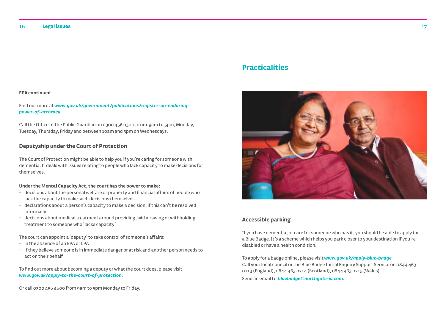Find out more at *www.gov.uk/government/publications/register-an-enduringpower-of-attorney*

Call the Office of the Public Guardian on 0300 456 0300, from 9am to 5pm, Monday, Tuesday, Thursday, Friday and between 10am and 5pm on Wednesdays.

#### **Deputyship under the Court of Protection**

The Court of Protection might be able to help you if you're caring for someone with dementia. It deals with issues relating to people who lack capacity to make decisions for themselves.

#### **Under the Mental Capacity Act, the court has the power to make:**

- decisions about the personal welfare or property and financial affairs of people who lack the capacity to make such decisions themselves
- declarations about a person's capacity to make a decision, if this can't be resolved informally
- decisions about medical treatment around providing, withdrawing or withholding treatment to someone who 'lacks capacity'

The court can appoint a 'deputy' to take control of someone's affairs:

- in the absence of an EPA or LPA
- if they believe someone is in immediate danger or at risk and another person needs to act on their behalf

To find out more about becoming a deputy or what the court does, please visit *www.gov.uk/apply-to-the-court-of-protection.*

Or call 0300 456 4600 from 9am to 5pm Monday to Friday.

## **Practicalities**



#### **Accessible parking**

If you have dementia, or care for someone who has it, you should be able to apply for a Blue Badge. It's a scheme which helps you park closer to your destination if you're disabled or have a health condition.

To apply for a badge online, please visit *www.gov.uk/apply-blue-badge* Call your local council or the Blue Badge Initial Enquiry Support Service on 0844 463 0213 (England), 0844 463 0214 (Scotland), 0844 463 0215 (Wales). Send an email to *bluebadge@northgate-is.com*.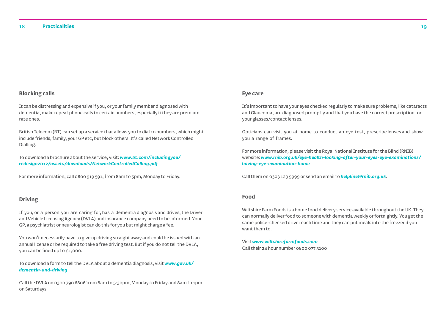#### **Blocking calls**

It can be distressing and expensive if you, or your family member diagnosed with dementia, make repeat phone calls to certain numbers, especially if they are premium rate ones.

British Telecom (BT) can set up a service that allows you to dial 10 numbers, which might include friends, family, your GP etc, but block others. It's called Network Controlled Dialling.

To download a brochure about the service, visit: *www.bt.com/includingyou/ redesign2012/assets/downloads/NetworkControlledCalling.pdf* 

For more information, call 0800 919 591, from 8am to 5pm, Monday to Friday.

#### **Driving**

If you, or a person you are caring for, has a dementia diagnosis and drives, the Driver and Vehicle Licensing Agency (DVLA) and insurance company need to be informed. Your GP, a psychiatrist or neurologist can do this for you but might charge a fee.

You won't necessarily have to give up driving straight away and could be issued with an annual license or be required to take a free driving test. But if you do not tell the DVLA, you can be fined up to £1,000.

To download a form to tell the DVLA about a dementia diagnosis, visit *www.gov.uk/ dementia-and-driving* 

Call the DVLA on 0300 790 6806 from 8am to 5:30pm, Monday to Friday and 8am to 1pm on Saturdays.

#### **Eye care**

It's important to have your eyes checked regularly to make sure problems, like cataracts and Glaucoma, are diagnosed promptly and that you have the correct prescription for your glasses/contact lenses.

Opticians can visit you at home to conduct an eye test, prescribe lenses and show you a range of frames.

For more information, please visit the Royal National Institute for the Blind (RNIB) website: *www.rnib.org.uk/eye-health-looking-after-your-eyes-eye-examinations/ having-eye-examination-home*

Call them on 0303 123 9999 or send an email to *helpline@rnib.org.uk*.

#### **Food**

Wiltshire Farm Foods is a home food delivery service available throughout the UK. They can normally deliver food to someone with dementia weekly or fortnightly. You get the same police-checked driver each time and they can put meals into the freezer if you want them to.

Visit *www.wiltshirefarmfoods.com* Call their 24 hour number 0800 077 3100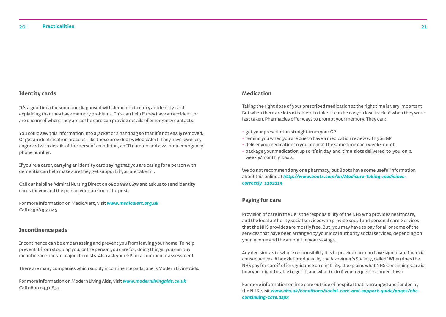#### **Identity cards**

It's a good idea for someone diagnosed with dementia to carry an identity card explaining that they have memory problems. This can help if they have an accident, or are unsure of where they are as the card can provide details of emergency contacts.

You could sew this information into a jacket or a handbag so that it's not easily removed. Or get an identification bracelet, like those provided by MedicAlert. They have jewellery engraved with details of the person's condition, an ID number and a 24-hour emergency phone number.

If you're a carer, carrying an identity card saying that you are caring for a person with dementia can help make sure they get support if you are taken ill.

Call our helpline Admiral Nursing Direct on 0800 888 6678 and ask us to send identity cards for you and the person you care for in the post.

For more information on MedicAlert, visit *www.medicalert.org.uk* Call 01908 951045

#### **Incontinence pads**

Incontinence can be embarrassing and prevent you from leaving your home. To help prevent it from stopping you, or the person you care for, doing things, you can buy incontinence pads in major chemists. Also ask your GP for a continence assessment.

There are many companies which supply incontinence pads, one is Modern Living Aids.

For more information on Modern Living Aids, visit *www.modernlivingaids.co.uk* Call 0800 043 0852.

#### **Medication**

Taking the right dose of your prescribed medication at the right time is very important. But when there are lots of tablets to take, it can be easy to lose track of when they were last taken. Pharmacies offer ways to prompt your memory. They can:

- get your prescription straight from your GP
- remind you when you are due to have a medication review with you GP
- deliver you medication to your door at the same time each week/month
- package your medication up so it's in day and time slots delivered to you on a weekly/monthly basis.

We do not recommend any one pharmacy, but Boots have some useful information about this online at *http://www.boots.com/en/Medisure-Taking-medicinescorrectly\_1282213*

#### **Paying for care**

Provision of care in the UK is the responsibility of the NHS who provides healthcare, and the local authority social services who provide social and personal care. Services that the NHS provides are mostly free. But, you may have to pay for all or some of the services that have been arranged by your local authority social services, depending on your income and the amount of your savings.

Any decision as to whose responsibility it is to provide care can have significant financial consequences. A booklet produced by the Alzheimer's Society, called 'When does the NHS pay for care?' offers guidance on eligibility. It explains what NHS Continuing Care is, how you might be able to get it, and what to do if your request is turned down.

For more information on free care outside of hospital that is arranged and funded by the NHS, visit *www.nhs.uk/conditions/social-care-and-support-guide/pages/nhscontinuing-care.aspx*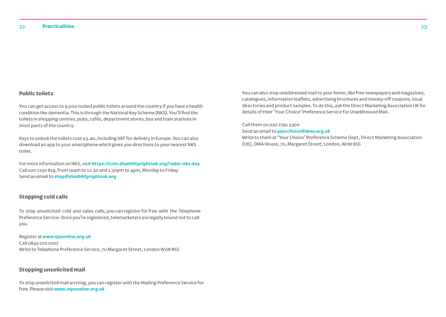#### **Public toilets**

You can get access to 9,000 locked public toilets around the country if you have a health condition like dementia. This is through the National Key Scheme (NKS). You'll find the toilets in shopping centres, pubs, cafés, department stores, bus and train stations in most parts of the country.

Keys to unlock the toilets cost £5.40, including VAT for delivery in Europe. You can also download an app to your smartphone which gives you directions to your nearest NKS toilet.

For more information on NKS, visit *https://crm.disabilityrightsuk.org/radar-nks-key* Call 020 7250 819, from 10am to 12.30 and 1.30pm to 4pm, Monday to Friday Send an email to *shop@disabilityrightsuk.org*

#### **Stopping cold calls**

To stop unsolicited cold and sales calls, you can register for free with the Telephone Preference Service. Once you're registered, telemarketers are legally bound not to call you.

Register at *www.tpsonline.org.uk* Call 0845 070 0707 Write to Telephone Preference Service, 70 Margaret Street, London W1W 8SS

#### **Stopping unsolicited mail**

To stop unsolicited mail arriving, you can register with the Mailing Preference Service for free. Please visit *www.mpsonline.org.uk*

You can also stop unaddressed mail to your home, like free newspapers and magazines, catalogues, information leaflets, advertising brochures and money-off coupons, local directories and product samples. To do this, ask the Direct Marketing Association UK for details of their 'Your Choice' Preference Service for Unaddressed Mail.

Call them on 020 7291 3300

Send an email to *yourchoice@dma.org.uk*

Write to them at 'Your Choice' Preference Scheme Dept, Direct Marketing Association (UK), DMA House, 70, Margaret Street, London, W1W 8SS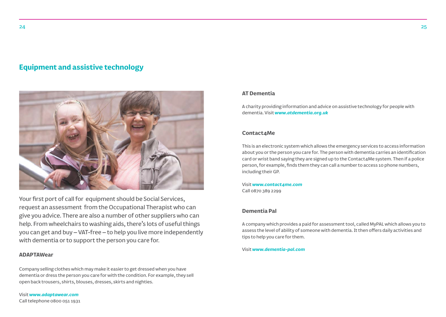## **Equipment and assistive technology**



Your first port of call for equipment should be Social Services, request an assessment from the Occupational Therapist who can give you advice. There are also a number of other suppliers who can help. From wheelchairs to washing aids, there's lots of useful things you can get and buy – VAT-free – to help you live more independently with dementia or to support the person you care for.

#### **ADAPTAWear**

Company selling clothes which may make it easier to get dressed when you have dementia or dress the person you care for with the condition. For example, they sell open back trousers, shirts, blouses, dresses, skirts and nighties.

Visit *www.adaptawear.com* Call telephone 0800 051 1931

#### **AT Dementia**

A charity providing information and advice on assistive technology for people with dementia. Visit *www.atdementia.org.uk*

#### **Contact4Me**

This is an electronic system which allows the emergency services to access information about you or the person you care for. The person with dementia carries an identification card or wrist band saying they are signed up to the Contact4Me system. Then if a police person, for example, finds them they can call a number to access 10 phone numbers, including their GP.

Visit *www.contact4me.com* Call 0870 389 2299

#### **Dementia Pal**

A company which provides a paid for assessment tool, called MyPAL which allows you to assess the level of ability of someone with dementia. It then offers daily activities and tips to help you care for them.

Visit *www.dementia-pal.com*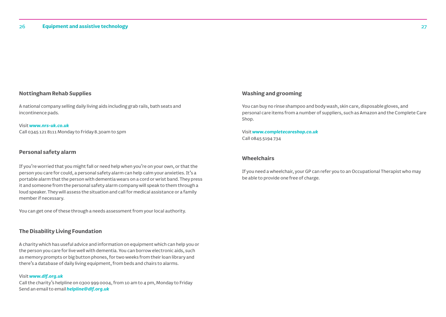#### **Nottingham Rehab Supplies**

A national company selling daily living aids including grab rails, bath seats and incontinence pads.

Visit *www.nrs-uk.co.uk* Call 0345 121 8111 Monday to Friday 8.30am to 5pm

#### **Personal safety alarm**

If you're worried that you might fall or need help when you're on your own, or that the person you care for could, a personal safety alarm can help calm your anxieties. It's a portable alarm that the person with dementia wears on a cord or wrist band. They press it and someone from the personal safety alarm company will speak to them through a loud speaker. They will assess the situation and call for medical assistance or a family member if necessary.

You can get one of these through a needs assessment from your local authority.

#### **The Disability Living Foundation**

A charity which has useful advice and information on equipment which can help you or the person you care for live well with dementia. You can borrow electronic aids, such as memory prompts or big button phones, for two weeks from their loan library and there's a database of daily living equipment, from beds and chairs to alarms.

## Visit *www.dlf.org.uk*

Call the charity's helpline on 0300 999 0004, from 10 am to 4 pm, Monday to Friday Send an email to email *helpline@dlf.org.uk*

#### **Washing and grooming**

You can buy no rinse shampoo and body wash, skin care, disposable gloves, and personal care items from a number of suppliers, such as Amazon and the Complete Care Shop.

#### Visit *www.completecareshop.co.uk*  Call 0845 5194 734

#### **Wheelchairs**

If you need a wheelchair, your GP can refer you to an Occupational Therapist who may be able to provide one free of charge.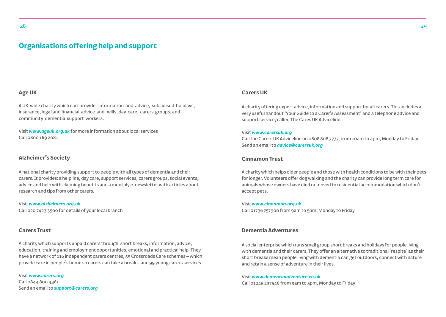### **Organisations offering help and support**

#### **Age UK**

A UK-wide charity which can provide: information and advice, subsidised holidays, insurance, legal and financial advice and wills, day care, carers groups, and community dementia support workers.

Visit *www.ageuk.org.uk* for more information about local services Call 0800 169 2081

#### **Alzheimer's Society**

A national charity providing support to people with all types of dementia and their carers. It provides: a helpline, day care, support services, carers groups, social events, advice and help with claiming benefits and a monthly e-newsletter with articles about research and tips from other carers.

Visit *www.alzheimers.org.uk* Call 020 7423 3500 for details of your local branch

#### **Carers Trust**

A charity which supports unpaid carers through: short breaks, information, advice, education, training and employment opportunities, emotional and practical help. They have a network of 116 independent carers centres, 55 Crossroads Care schemes – which provide care in people's home so carers can take a break – and 99 young carers services.

Visit *www.carers.org* Call 0844 800 4361 Send an email to *support@carers.org*

#### **Carers UK**

A charity offering expert advice, information and support for all carers. This includes a very useful handout 'Your Guide to a Carer's Assessment' and a telephone advice and support service, called The Cares UK Adviceline.

#### Visit *www.carersuk.org*

Call the Carers UK Adviceline on 0808 808 7777, from 10am to 4pm, Monday to Friday. Send an email to *advice@carersuk.org*

#### **Cinnamon Trust**

A charity which helps older people and those with health conditions to be with their pets for longer. Volunteers offer dog walking and the charity can provide long term care for animals whose owners have died or moved to residential accommodation which don't accept pets.

Visit *www.cinnamon.org.uk*  Call 01736 757900 from 9am to 5pm, Monday to Friday

#### **Dementia Adventures**

A social enterprise which runs small group short breaks and holidays for people living with dementia and their carers. They offer an alternative to traditional 'respite' as their short breaks mean people living with dementia can get outdoors, connect with nature and retain a sense of adventure in their lives.

Visit *www.dementiaadventure.co.uk*

Call 01245 237548 from 9am to 5pm, Monday to Friday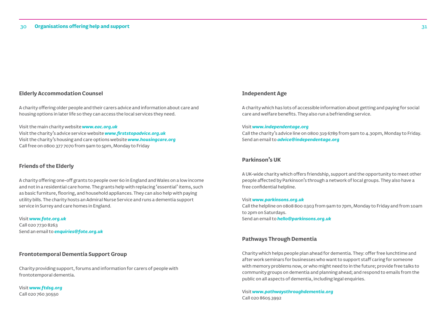#### **Elderly Accommodation Counsel**

A charity offering older people and their carers advice and information about care and housing options in later life so they can access the local services they need.

Visit the main charity website *www.eac.org.uk*  Visit the charity's advice service website *www.firststopadvice.org.uk*  Visit the charity's housing and care options website *www.housingcare.org* Call free on 0800 377 7070 from 9am to 5pm, Monday to Friday

#### **Friends of the Elderly**

A charity offering one-off grants to people over 60 in England and Wales on a low income and not in a residential care home. The grants help with replacing 'essential' items, such as basic furniture, flooring, and household appliances. They can also help with paying utility bills. The charity hosts an Admiral Nurse Service and runs a dementia support service in Surrey and care homes in England.

Visit *www.fote.org.uk* Call 020 7730 8263 Send an email to *enquiries@fote.org.uk*

#### **Frontotemporal Dementia Support Group**

Charity providing support, forums and information for carers of people with frontotemporal dementia.

Visit *www.ftdsg.org* Call 020 760 30550

#### **Independent Age**

A charity which has lots of accessible information about getting and paying for social care and welfare benefits. They also run a befriending service.

#### Visit *www.independentage.org*

Call the charity's advice line on 0800 319 6789 from 9am to 4.30pm, Monday to Friday. Send an email to *advice@independentage.org*

#### **Parkinson's UK**

A UK-wide charity which offers friendship, support and the opportunity to meet other people affected by Parkinson's through a network of local groups. They also have a free confidential helpline.

#### Visit *www.parkinsons.org.uk*

Call the helpline on 0808 800 0303 from 9am to 7pm, Monday to Friday and from 10am to 2pm on Saturdays. Send an email to *hello@parkinsons.org.uk*

#### **Pathways Through Dementia**

Charity which helps people plan ahead for dementia. They: offer free lunchtime and after work seminars for businesses who want to support staff caring for someone with memory problems now, or who might need to in the future; provide free talks to community groups on dementia and planning ahead; and respond to emails from the public on all aspects of dementia, including legal enquiries.

Visit *www.pathwaysthroughdementia.org* Call 020 8605 3992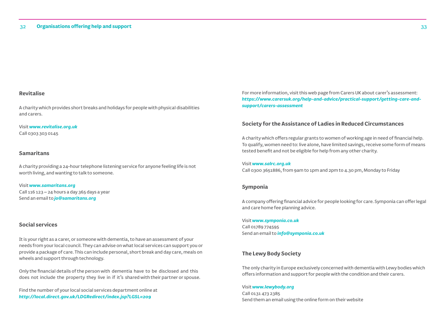#### **Revitalise**

A charity which provides short breaks and holidays for people with physical disabilities and carers.

Visit *www.revitalise.org.uk*  Call 0303 303 0145

#### **Samaritans**

A charity providing a 24-hour telephone listening service for anyone feeling life is not worth living, and wanting to talk to someone.

Visit *www.samaritans.org*  Call 116 123 – 24 hours a day 365 days a year Send an email to *jo@samaritans.org* 

#### **Social services**

It is your right as a carer, or someone with dementia, to have an assessment of your needs from your local council. They can advise on what local services can support you or provide a package of care. This can include personal, short break and day care, meals on wheels and support through technology.

Only the financial details of the person with dementia have to be disclosed and this does not include the property they live in if it's shared with their partner or spouse.

Find the number of your local social services department online at *http://local.direct.gov.uk/LDGRedirect/index.jsp?LGSL=209*

For more information, visit this web page from Carers UK about carer's assessment: *https://www.carersuk.org/help-and-advice/practical-support/getting-care-andsupport/carers-assessment*

#### **Society for the Assistance of Ladies in Reduced Circumstances**

A charity which offers regular grants to women of working age in need of financial help. To qualify, women need to: live alone, have limited savings, receive some form of means tested benefit and not be eligible for help from any other charity.

Visit *www.salrc.org.uk* Call 0300 3651886, from 9am to 1pm and 2pm to 4.30 pm, Monday to Friday

#### **Symponia**

A company offering financial advice for people looking for care. Symponia can offer legal and care home fee planning advice.

Visit *www.symponia.co.uk*  Call 01789 774595 Send an email to *info@symponia.co.uk*

#### **The Lewy Body Society**

The only charity in Europe exclusively concerned with dementia with Lewy bodies which offers information and support for people with the condition and their carers.

#### Visit *www.lewybody.org*

Call 0131 473 2385 Send them an email using the online form on their website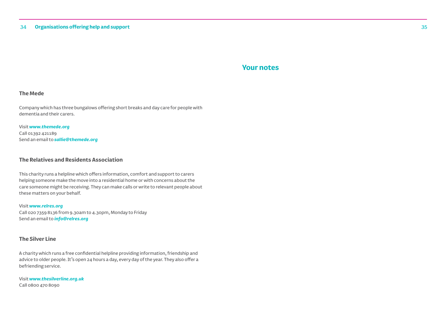## **Your notes**

#### **The Mede**

Company which has three bungalows offering short breaks and day care for people with dementia and their carers.

Visit *www.themede.org* Call 01392 421189 Send an email to *sallie@themede.org*

#### **The Relatives and Residents Association**

This charity runs a helpline which offers information, comfort and support to carers helping someone make the move into a residential home or with concerns about the care someone might be receiving. They can make calls or write to relevant people about these matters on your behalf.

#### Visit *www.relres.org*

Call 020 7359 8136 from 9.30am to 4.30pm, Monday to Friday Send an email to *info@relres.org*

#### **The Silver Line**

A charity which runs a free confidential helpline providing information, friendship and advice to older people. It's open 24 hours a day, every day of the year. They also offer a befriending service.

Visit *www.thesilverline.org.uk*  Call 0800 470 8090